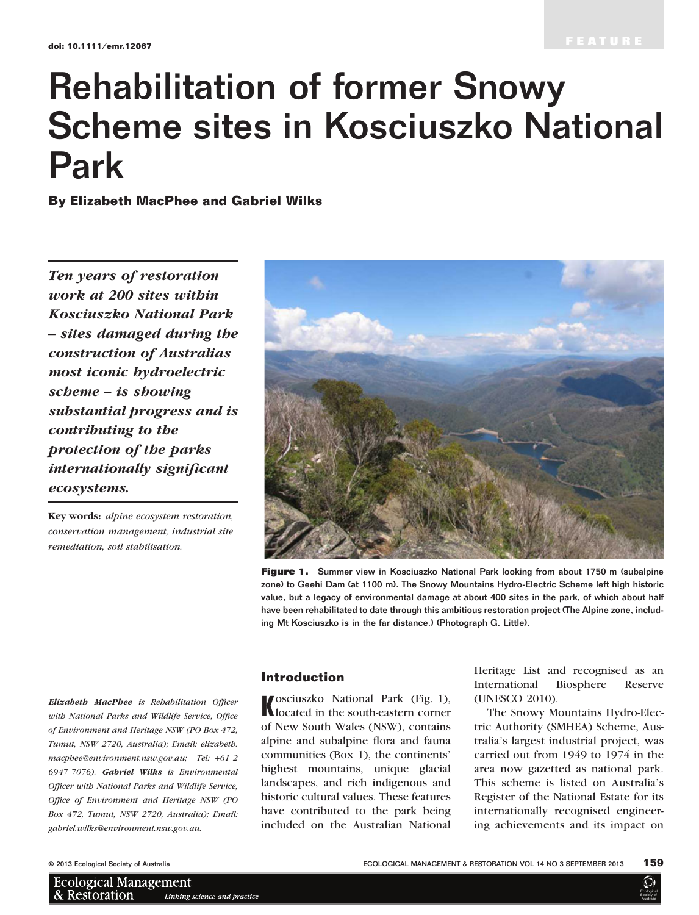# Rehabilitation of former Snowy Scheme sites in Kosciuszko National Park

By Elizabeth MacPhee and Gabriel Wilks

Ten years of restoration work at 200 sites within Kosciuszko National Park – sites damaged during the construction of Australias most iconic hydroelectric scheme – is showing substantial progress and is contributing to the protection of the parks internationally significant ecosystems.

Key words: alpine ecosystem restoration, conservation management, industrial site remediation, soil stabilisation.

Elizabeth MacPhee is Rehabilitation Officer with National Parks and Wildlife Service, Office of Environment and Heritage NSW (PO Box 472, Tumut, NSW 2720, Australia); Email: elizabeth. macphee@environment.nsw.gov.au; Tel: +61 2 6947 7076). Gabriel Wilks is Environmental Officer with National Parks and Wildlife Service, Office of Environment and Heritage NSW (PO Box 472, Tumut, NSW 2720, Australia); Email: gabriel.wilks@environment.nsw.gov.au.



Figure 1. Summer view in Kosciuszko National Park looking from about 1750 m (subalpine zone) to Geehi Dam (at 1100 m). The Snowy Mountains Hydro-Electric Scheme left high historic value, but a legacy of environmental damage at about 400 sites in the park, of which about half have been rehabilitated to date through this ambitious restoration project (The Alpine zone, including Mt Kosciuszko is in the far distance.) (Photograph G. Little).

#### Introduction

Kosciuszko National Park (Fig. 1), located in the south-eastern corner of New South Wales (NSW), contains alpine and subalpine flora and fauna communities (Box 1), the continents' highest mountains, unique glacial landscapes, and rich indigenous and historic cultural values. These features have contributed to the park being included on the Australian National

Heritage List and recognised as an International Biosphere Reserve (UNESCO 2010).

The Snowy Mountains Hydro-Electric Authority (SMHEA) Scheme, Australia's largest industrial project, was carried out from 1949 to 1974 in the area now gazetted as national park. This scheme is listed on Australia's Register of the National Estate for its internationally recognised engineering achievements and its impact on

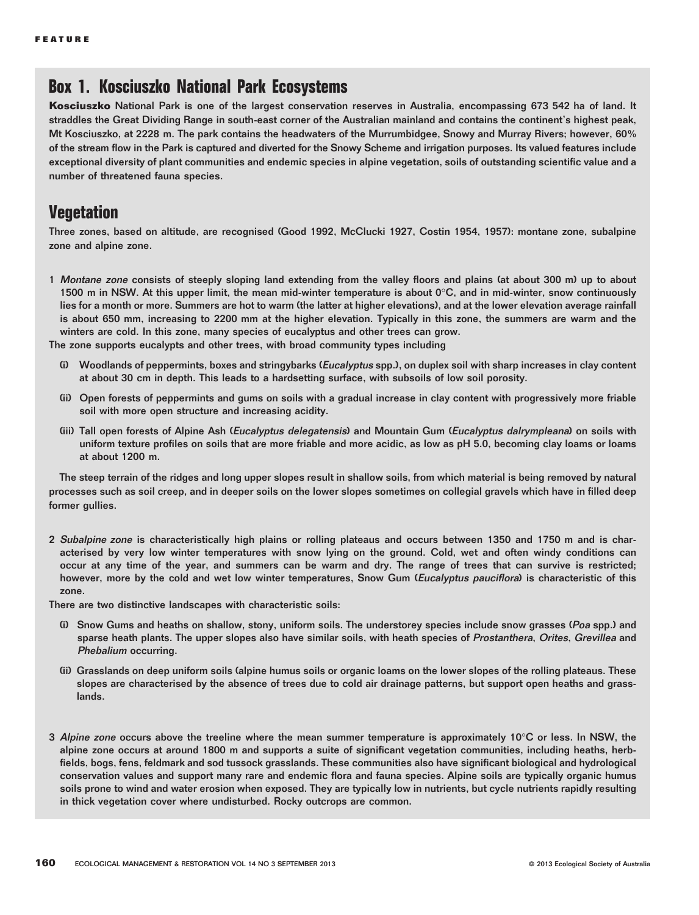## Box 1. Kosciuszko National Park Ecosystems

Kosciuszko National Park is one of the largest conservation reserves in Australia, encompassing 673 542 ha of land. It straddles the Great Dividing Range in south-east corner of the Australian mainland and contains the continent's highest peak, Mt Kosciuszko, at 2228 m. The park contains the headwaters of the Murrumbidgee, Snowy and Murray Rivers; however, 60% of the stream flow in the Park is captured and diverted for the Snowy Scheme and irrigation purposes. Its valued features include exceptional diversity of plant communities and endemic species in alpine vegetation, soils of outstanding scientific value and a number of threatened fauna species.

## **Vegetation**

Three zones, based on altitude, are recognised (Good 1992, McClucki 1927, Costin 1954, 1957): montane zone, subalpine zone and alpine zone.

1 Montane zone consists of steeply sloping land extending from the valley floors and plains (at about 300 m) up to about 1500 m in NSW. At this upper limit, the mean mid-winter temperature is about  $0^{\circ}$ C, and in mid-winter, snow continuously lies for a month or more. Summers are hot to warm (the latter at higher elevations), and at the lower elevation average rainfall is about 650 mm, increasing to 2200 mm at the higher elevation. Typically in this zone, the summers are warm and the winters are cold. In this zone, many species of eucalyptus and other trees can grow.

The zone supports eucalypts and other trees, with broad community types including

- Woodlands of peppermints, boxes and stringybarks (Eucalyptus spp.), on duplex soil with sharp increases in clay content at about 30 cm in depth. This leads to a hardsetting surface, with subsoils of low soil porosity.
- (ii) Open forests of peppermints and gums on soils with a gradual increase in clay content with progressively more friable soil with more open structure and increasing acidity.
- (iii) Tall open forests of Alpine Ash (Eucalyptus delegatensis) and Mountain Gum (Eucalyptus dalrympleana) on soils with uniform texture profiles on soils that are more friable and more acidic, as low as pH 5.0, becoming clay loams or loams at about 1200 m.

The steep terrain of the ridges and long upper slopes result in shallow soils, from which material is being removed by natural processes such as soil creep, and in deeper soils on the lower slopes sometimes on collegial gravels which have in filled deep former gullies.

- 2 Subalpine zone is characteristically high plains or rolling plateaus and occurs between 1350 and 1750 m and is characterised by very low winter temperatures with snow lying on the ground. Cold, wet and often windy conditions can occur at any time of the year, and summers can be warm and dry. The range of trees that can survive is restricted; however, more by the cold and wet low winter temperatures, Snow Gum (Eucalyptus pauciflora) is characteristic of this zone.
- There are two distinctive landscapes with characteristic soils:
	- (i) Snow Gums and heaths on shallow, stony, uniform soils. The understorey species include snow grasses (Poa spp.) and sparse heath plants. The upper slopes also have similar soils, with heath species of Prostanthera, Orites, Grevillea and Phebalium occurring.
	- (ii) Grasslands on deep uniform soils (alpine humus soils or organic loams on the lower slopes of the rolling plateaus. These slopes are characterised by the absence of trees due to cold air drainage patterns, but support open heaths and grasslands.
- 3 Alpine zone occurs above the treeline where the mean summer temperature is approximately 10°C or less. In NSW, the alpine zone occurs at around 1800 m and supports a suite of significant vegetation communities, including heaths, herbfields, bogs, fens, feldmark and sod tussock grasslands. These communities also have significant biological and hydrological conservation values and support many rare and endemic flora and fauna species. Alpine soils are typically organic humus soils prone to wind and water erosion when exposed. They are typically low in nutrients, but cycle nutrients rapidly resulting in thick vegetation cover where undisturbed. Rocky outcrops are common.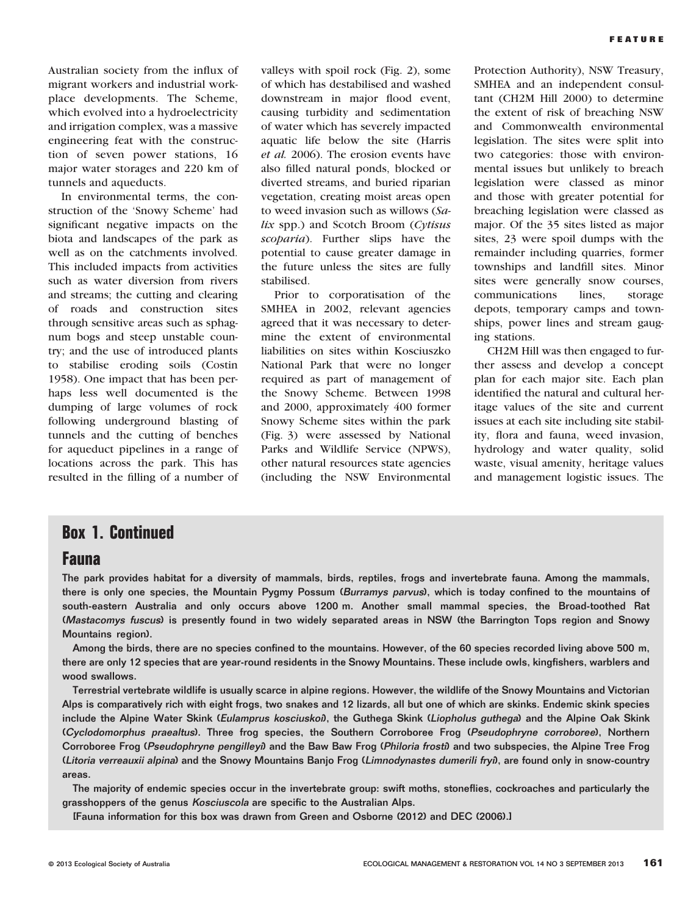Australian society from the influx of migrant workers and industrial workplace developments. The Scheme, which evolved into a hydroelectricity and irrigation complex, was a massive engineering feat with the construction of seven power stations, 16 major water storages and 220 km of tunnels and aqueducts.

In environmental terms, the construction of the 'Snowy Scheme' had significant negative impacts on the biota and landscapes of the park as well as on the catchments involved. This included impacts from activities such as water diversion from rivers and streams; the cutting and clearing of roads and construction sites through sensitive areas such as sphagnum bogs and steep unstable country; and the use of introduced plants to stabilise eroding soils (Costin 1958). One impact that has been perhaps less well documented is the dumping of large volumes of rock following underground blasting of tunnels and the cutting of benches for aqueduct pipelines in a range of locations across the park. This has resulted in the filling of a number of valleys with spoil rock (Fig. 2), some of which has destabilised and washed downstream in major flood event, causing turbidity and sedimentation of water which has severely impacted aquatic life below the site (Harris et al. 2006). The erosion events have also filled natural ponds, blocked or diverted streams, and buried riparian vegetation, creating moist areas open to weed invasion such as willows (Salix spp.) and Scotch Broom (Cytisus scoparia). Further slips have the potential to cause greater damage in the future unless the sites are fully stabilised.

Prior to corporatisation of the SMHEA in 2002, relevant agencies agreed that it was necessary to determine the extent of environmental liabilities on sites within Kosciuszko National Park that were no longer required as part of management of the Snowy Scheme. Between 1998 and 2000, approximately 400 former Snowy Scheme sites within the park (Fig. 3) were assessed by National Parks and Wildlife Service (NPWS), other natural resources state agencies (including the NSW Environmental

Protection Authority), NSW Treasury, SMHEA and an independent consultant (CH2M Hill 2000) to determine the extent of risk of breaching NSW and Commonwealth environmental legislation. The sites were split into two categories: those with environmental issues but unlikely to breach legislation were classed as minor and those with greater potential for breaching legislation were classed as major. Of the 35 sites listed as major sites, 23 were spoil dumps with the remainder including quarries, former townships and landfill sites. Minor sites were generally snow courses, communications lines, storage depots, temporary camps and townships, power lines and stream gauging stations.

CH2M Hill was then engaged to further assess and develop a concept plan for each major site. Each plan identified the natural and cultural heritage values of the site and current issues at each site including site stability, flora and fauna, weed invasion, hydrology and water quality, solid waste, visual amenity, heritage values and management logistic issues. The

### Box 1. Continued

#### Fauna

The park provides habitat for a diversity of mammals, birds, reptiles, frogs and invertebrate fauna. Among the mammals, there is only one species, the Mountain Pygmy Possum (Burramys parvus), which is today confined to the mountains of south-eastern Australia and only occurs above 1200 m. Another small mammal species, the Broad-toothed Rat (Mastacomys fuscus) is presently found in two widely separated areas in NSW (the Barrington Tops region and Snowy Mountains region).

Among the birds, there are no species confined to the mountains. However, of the 60 species recorded living above 500 m, there are only 12 species that are year-round residents in the Snowy Mountains. These include owls, kingfishers, warblers and wood swallows.

Terrestrial vertebrate wildlife is usually scarce in alpine regions. However, the wildlife of the Snowy Mountains and Victorian Alps is comparatively rich with eight frogs, two snakes and 12 lizards, all but one of which are skinks. Endemic skink species include the Alpine Water Skink (Eulamprus kosciuskoi), the Guthega Skink (Liopholus guthega) and the Alpine Oak Skink (Cyclodomorphus praealtus). Three frog species, the Southern Corroboree Frog (Pseudophryne corroboree), Northern Corroboree Frog (Pseudophryne pengilleyi) and the Baw Baw Frog (Philoria frosti) and two subspecies, the Alpine Tree Frog (Litoria verreauxii alpina) and the Snowy Mountains Banjo Frog (Limnodynastes dumerili fryi), are found only in snow-country areas.

The majority of endemic species occur in the invertebrate group: swift moths, stoneflies, cockroaches and particularly the grasshoppers of the genus Kosciuscola are specific to the Australian Alps.

[Fauna information for this box was drawn from Green and Osborne (2012) and DEC (2006).]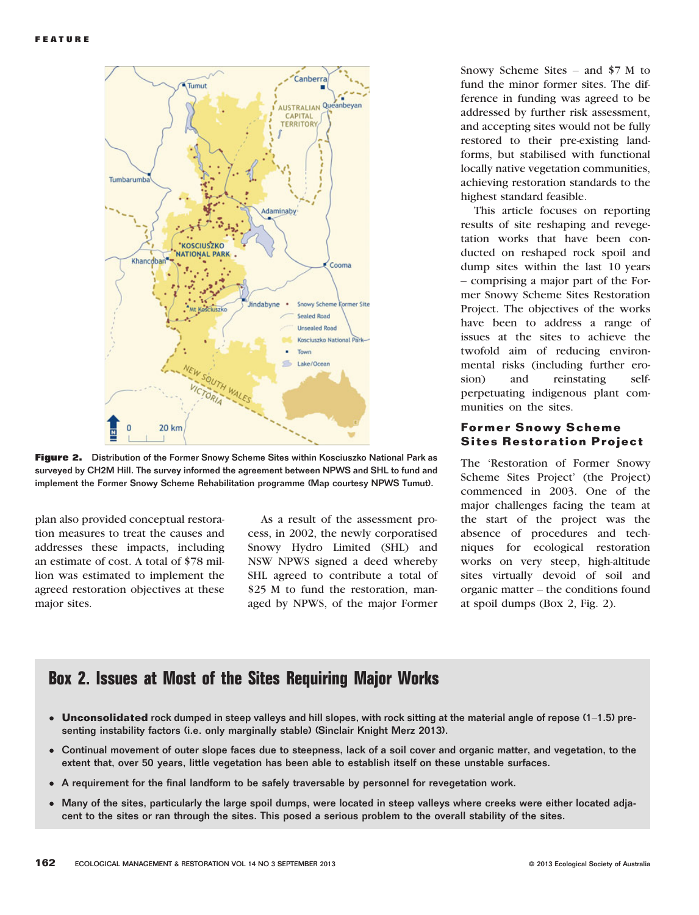

Figure 2. Distribution of the Former Snowy Scheme Sites within Kosciuszko National Park as surveyed by CH2M Hill. The survey informed the agreement between NPWS and SHL to fund and implement the Former Snowy Scheme Rehabilitation programme (Map courtesy NPWS Tumut).

plan also provided conceptual restoration measures to treat the causes and addresses these impacts, including an estimate of cost. A total of \$78 million was estimated to implement the agreed restoration objectives at these major sites.

As a result of the assessment process, in 2002, the newly corporatised Snowy Hydro Limited (SHL) and NSW NPWS signed a deed whereby SHL agreed to contribute a total of \$25 M to fund the restoration, managed by NPWS, of the major Former

Snowy Scheme Sites – and \$7 M to fund the minor former sites. The difference in funding was agreed to be addressed by further risk assessment, and accepting sites would not be fully restored to their pre-existing landforms, but stabilised with functional locally native vegetation communities, achieving restoration standards to the highest standard feasible.

This article focuses on reporting results of site reshaping and revegetation works that have been conducted on reshaped rock spoil and dump sites within the last 10 years – comprising a major part of the Former Snowy Scheme Sites Restoration Project. The objectives of the works have been to address a range of issues at the sites to achieve the twofold aim of reducing environmental risks (including further erosion) and reinstating selfperpetuating indigenous plant communities on the sites.

#### Former Snowy Scheme Sites Restoration Project

The 'Restoration of Former Snowy Scheme Sites Project' (the Project) commenced in 2003. One of the major challenges facing the team at the start of the project was the absence of procedures and techniques for ecological restoration works on very steep, high-altitude sites virtually devoid of soil and organic matter – the conditions found at spoil dumps (Box 2, Fig. 2).

## Box 2. Issues at Most of the Sites Requiring Major Works

- Unconsolidated rock dumped in steep valleys and hill slopes, with rock sitting at the material angle of repose (1–1.5) presenting instability factors (i.e. only marginally stable) (Sinclair Knight Merz 2013).
- Continual movement of outer slope faces due to steepness, lack of a soil cover and organic matter, and vegetation, to the extent that, over 50 years, little vegetation has been able to establish itself on these unstable surfaces.
- A requirement for the final landform to be safely traversable by personnel for revegetation work.
- Many of the sites, particularly the large spoil dumps, were located in steep valleys where creeks were either located adjacent to the sites or ran through the sites. This posed a serious problem to the overall stability of the sites.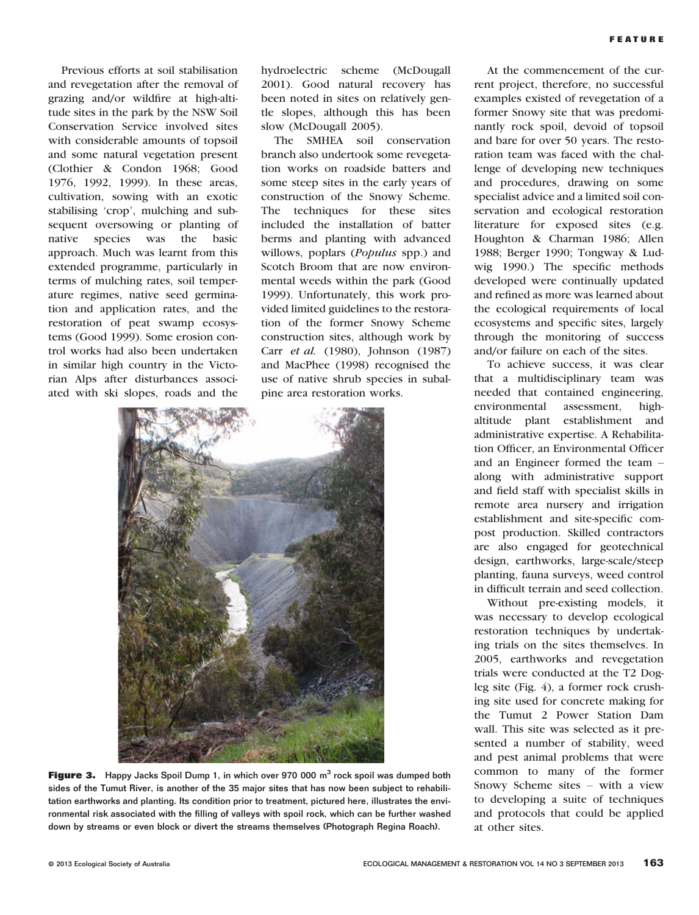Previous efforts at soil stabilisation and revegetation after the removal of grazing and/or wildfire at high-altitude sites in the park by the NSW Soil Conservation Service involved sites with considerable amounts of topsoil and some natural vegetation present (Clothier & Condon 1968; Good 1976, 1992, 1999). In these areas, cultivation, sowing with an exotic stabilising 'crop', mulching and subsequent oversowing or planting of native species was the basic approach. Much was learnt from this extended programme, particularly in terms of mulching rates, soil temperature regimes, native seed germination and application rates, and the restoration of peat swamp ecosystems (Good 1999). Some erosion control works had also been undertaken in similar high country in the Victorian Alps after disturbances associated with ski slopes, roads and the

hydroelectric scheme (McDougall 2001). Good natural recovery has been noted in sites on relatively gentle slopes, although this has been slow (McDougall 2005).

The SMHEA soil conservation branch also undertook some revegetation works on roadside batters and some steep sites in the early years of construction of the Snowy Scheme. The techniques for these sites included the installation of batter berms and planting with advanced willows, poplars (*Populus* spp.) and Scotch Broom that are now environmental weeds within the park (Good 1999). Unfortunately, this work provided limited guidelines to the restoration of the former Snowy Scheme construction sites, although work by Carr et al. (1980), Johnson (1987) and MacPhee (1998) recognised the use of native shrub species in subalpine area restoration works.



**Figure 3.** Happy Jacks Spoil Dump 1, in which over 970 000  $m<sup>3</sup>$  rock spoil was dumped both sides of the Tumut River, is another of the 35 major sites that has now been subject to rehabilitation earthworks and planting. Its condition prior to treatment, pictured here, illustrates the environmental risk associated with the filling of valleys with spoil rock, which can be further washed down by streams or even block or divert the streams themselves (Photograph Regina Roach).

At the commencement of the current project, therefore, no successful examples existed of revegetation of a former Snowy site that was predominantly rock spoil, devoid of topsoil and bare for over 50 years. The restoration team was faced with the challenge of developing new techniques and procedures, drawing on some specialist advice and a limited soil conservation and ecological restoration literature for exposed sites (e.g. Houghton & Charman 1986; Allen 1988; Berger 1990; Tongway & Ludwig 1990.) The specific methods developed were continually updated and refined as more was learned about the ecological requirements of local ecosystems and specific sites, largely through the monitoring of success and/or failure on each of the sites.

To achieve success, it was clear that a multidisciplinary team was needed that contained engineering, environmental assessment, highaltitude plant establishment and administrative expertise. A Rehabilitation Officer, an Environmental Officer and an Engineer formed the team – along with administrative support and field staff with specialist skills in remote area nursery and irrigation establishment and site-specific compost production. Skilled contractors are also engaged for geotechnical design, earthworks, large-scale/steep planting, fauna surveys, weed control in difficult terrain and seed collection.

Without pre-existing models, it was necessary to develop ecological restoration techniques by undertaking trials on the sites themselves. In 2005, earthworks and revegetation trials were conducted at the T2 Dogleg site (Fig. 4), a former rock crushing site used for concrete making for the Tumut 2 Power Station Dam wall. This site was selected as it presented a number of stability, weed and pest animal problems that were common to many of the former Snowy Scheme sites – with a view to developing a suite of techniques and protocols that could be applied at other sites.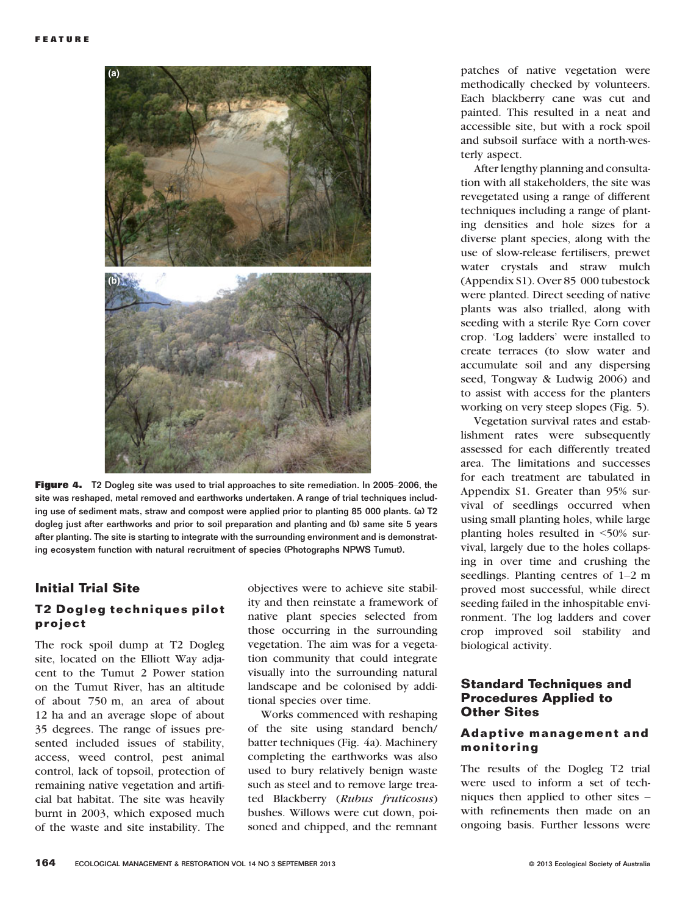

Figure 4. T2 Dogleg site was used to trial approaches to site remediation. In 2005–2006, the site was reshaped, metal removed and earthworks undertaken. A range of trial techniques including use of sediment mats, straw and compost were applied prior to planting 85 000 plants. (a) T2 dogleg just after earthworks and prior to soil preparation and planting and (b) same site 5 years after planting. The site is starting to integrate with the surrounding environment and is demonstrating ecosystem function with natural recruitment of species (Photographs NPWS Tumut).

#### Initial Trial Site

#### T2 Dogleg techniques pilot project

The rock spoil dump at T2 Dogleg site, located on the Elliott Way adjacent to the Tumut 2 Power station on the Tumut River, has an altitude of about 750 m, an area of about 12 ha and an average slope of about 35 degrees. The range of issues presented included issues of stability, access, weed control, pest animal control, lack of topsoil, protection of remaining native vegetation and artificial bat habitat. The site was heavily burnt in 2003, which exposed much of the waste and site instability. The

objectives were to achieve site stability and then reinstate a framework of native plant species selected from those occurring in the surrounding vegetation. The aim was for a vegetation community that could integrate visually into the surrounding natural landscape and be colonised by additional species over time.

Works commenced with reshaping of the site using standard bench/ batter techniques (Fig. 4a). Machinery completing the earthworks was also used to bury relatively benign waste such as steel and to remove large treated Blackberry (Rubus fruticosus) bushes. Willows were cut down, poisoned and chipped, and the remnant

patches of native vegetation were methodically checked by volunteers. Each blackberry cane was cut and painted. This resulted in a neat and accessible site, but with a rock spoil and subsoil surface with a north-westerly aspect.

After lengthy planning and consultation with all stakeholders, the site was revegetated using a range of different techniques including a range of planting densities and hole sizes for a diverse plant species, along with the use of slow-release fertilisers, prewet water crystals and straw mulch (Appendix S1). Over 85 000 tubestock were planted. Direct seeding of native plants was also trialled, along with seeding with a sterile Rye Corn cover crop. 'Log ladders' were installed to create terraces (to slow water and accumulate soil and any dispersing seed, Tongway & Ludwig 2006) and to assist with access for the planters working on very steep slopes (Fig. 5).

Vegetation survival rates and establishment rates were subsequently assessed for each differently treated area. The limitations and successes for each treatment are tabulated in Appendix S1. Greater than 95% survival of seedlings occurred when using small planting holes, while large planting holes resulted in <50% survival, largely due to the holes collapsing in over time and crushing the seedlings. Planting centres of 1–2 m proved most successful, while direct seeding failed in the inhospitable environment. The log ladders and cover crop improved soil stability and biological activity.

#### Standard Techniques and Procedures Applied to Other Sites

#### Adaptive management and monitoring

The results of the Dogleg T2 trial were used to inform a set of techniques then applied to other sites – with refinements then made on an ongoing basis. Further lessons were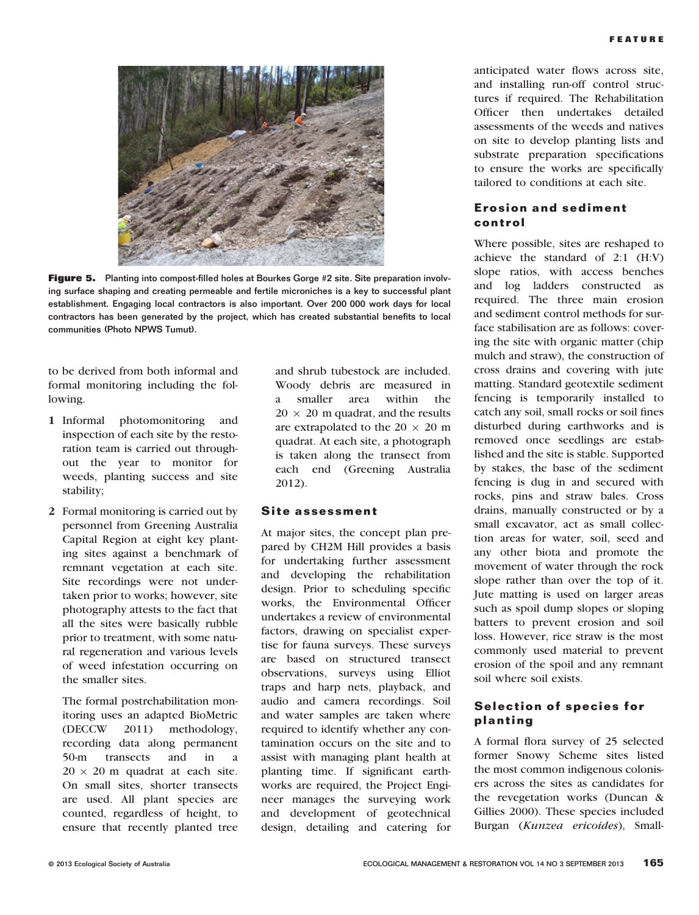

Figure 5. Planting into compost-filled holes at Bourkes Gorge #2 site. Site preparation involving surface shaping and creating permeable and fertile microniches is a key to successful plant establishment. Engaging local contractors is also important. Over 200 000 work days for local contractors has been generated by the project, which has created substantial benefits to local communities (Photo NPWS Tumut).

to be derived from both informal and formal monitoring including the following.

- 1 Informal photomonitoring and inspection of each site by the restoration team is carried out throughout the year to monitor for weeds, planting success and site stability;
- 2 Formal monitoring is carried out by personnel from Greening Australia Capital Region at eight key planting sites against a benchmark of remnant vegetation at each site. Site recordings were not undertaken prior to works; however, site photography attests to the fact that all the sites were basically rubble prior to treatment, with some natural regeneration and various levels of weed infestation occurring on the smaller sites.

The formal postrehabilitation monitoring uses an adapted BioMetric (DECCW 2011) methodology, recording data along permanent 50-m transects and in a  $20 \times 20$  m quadrat at each site. On small sites, shorter transects are used. All plant species are counted, regardless of height, to ensure that recently planted tree and shrub tubestock are included. Woody debris are measured in a smaller area within the  $20 \times 20$  m quadrat, and the results are extrapolated to the 20  $\times$  20 m quadrat. At each site, a photograph is taken along the transect from each end (Greening Australia 2012).

#### Site assessment

At major sites, the concept plan prepared by CH2M Hill provides a basis for undertaking further assessment and developing the rehabilitation design. Prior to scheduling specific works, the Environmental Officer undertakes a review of environmental factors, drawing on specialist expertise for fauna surveys. These surveys are based on structured transect observations, surveys using Elliot traps and harp nets, playback, and audio and camera recordings. Soil and water samples are taken where required to identify whether any contamination occurs on the site and to assist with managing plant health at planting time. If significant earthworks are required, the Project Engineer manages the surveying work and development of geotechnical design, detailing and catering for

anticipated water flows across site, and installing run-off control structures if required. The Rehabilitation Officer then undertakes detailed assessments of the weeds and natives on site to develop planting lists and substrate preparation specifications to ensure the works are specifically tailored to conditions at each site.

#### Erosion and sediment control

Where possible, sites are reshaped to achieve the standard of 2:1 (H:V) slope ratios, with access benches and log ladders constructed as required. The three main erosion and sediment control methods for surface stabilisation are as follows: covering the site with organic matter (chip mulch and straw), the construction of cross drains and covering with jute matting. Standard geotextile sediment fencing is temporarily installed to catch any soil, small rocks or soil fines disturbed during earthworks and is removed once seedlings are established and the site is stable. Supported by stakes, the base of the sediment fencing is dug in and secured with rocks, pins and straw bales. Cross drains, manually constructed or by a small excavator, act as small collection areas for water, soil, seed and any other biota and promote the movement of water through the rock slope rather than over the top of it. Jute matting is used on larger areas such as spoil dump slopes or sloping batters to prevent erosion and soil loss. However, rice straw is the most commonly used material to prevent erosion of the spoil and any remnant soil where soil exists.

#### Selection of species for planting

A formal flora survey of 25 selected former Snowy Scheme sites listed the most common indigenous colonisers across the sites as candidates for the revegetation works (Duncan & Gillies 2000). These species included Burgan (Kunzea ericoides), Small-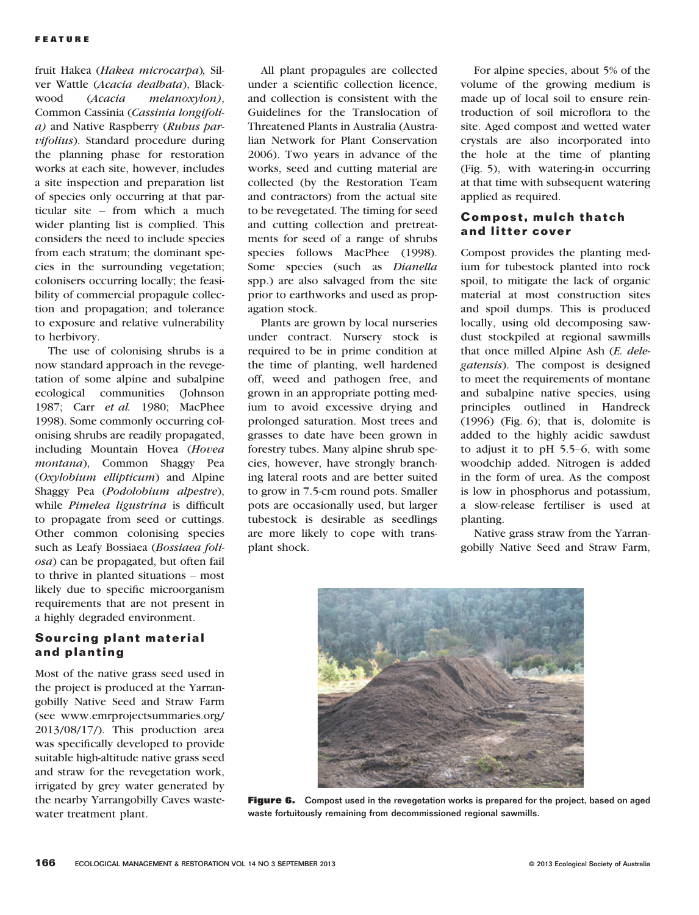fruit Hakea (Hakea microcarpa), Silver Wattle (Acacia dealbata), Black-<br>wood (Acacia melanoxylon). wood (Acacia melanoxylon), Common Cassinia (Cassinia longifolia) and Native Raspberry (Rubus parvifolius). Standard procedure during the planning phase for restoration works at each site, however, includes a site inspection and preparation list of species only occurring at that particular site – from which a much wider planting list is complied. This considers the need to include species from each stratum; the dominant species in the surrounding vegetation; colonisers occurring locally; the feasibility of commercial propagule collection and propagation; and tolerance to exposure and relative vulnerability to herbivory.

The use of colonising shrubs is a now standard approach in the revegetation of some alpine and subalpine ecological communities (Johnson 1987; Carr et al. 1980; MacPhee 1998). Some commonly occurring colonising shrubs are readily propagated, including Mountain Hovea (Hovea montana), Common Shaggy Pea (Oxylobium ellipticum) and Alpine Shaggy Pea (Podolobium alpestre), while Pimelea ligustrina is difficult to propagate from seed or cuttings. Other common colonising species such as Leafy Bossiaea (Bossiaea foliosa) can be propagated, but often fail to thrive in planted situations – most likely due to specific microorganism requirements that are not present in a highly degraded environment.

#### Sourcing plant material and planting

Most of the native grass seed used in the project is produced at the Yarrangobilly Native Seed and Straw Farm (see www.emrprojectsummaries.org/ 2013/08/17/). This production area was specifically developed to provide suitable high-altitude native grass seed and straw for the revegetation work, irrigated by grey water generated by the nearby Yarrangobilly Caves wastewater treatment plant.

All plant propagules are collected under a scientific collection licence, and collection is consistent with the Guidelines for the Translocation of Threatened Plants in Australia (Australian Network for Plant Conservation 2006). Two years in advance of the works, seed and cutting material are collected (by the Restoration Team and contractors) from the actual site to be revegetated. The timing for seed and cutting collection and pretreatments for seed of a range of shrubs species follows MacPhee (1998). Some species (such as Dianella spp.) are also salvaged from the site prior to earthworks and used as propagation stock.

Plants are grown by local nurseries under contract. Nursery stock is required to be in prime condition at the time of planting, well hardened off, weed and pathogen free, and grown in an appropriate potting medium to avoid excessive drying and prolonged saturation. Most trees and grasses to date have been grown in forestry tubes. Many alpine shrub species, however, have strongly branching lateral roots and are better suited to grow in 7.5-cm round pots. Smaller pots are occasionally used, but larger tubestock is desirable as seedlings are more likely to cope with transplant shock.

For alpine species, about 5% of the volume of the growing medium is made up of local soil to ensure reintroduction of soil microflora to the site. Aged compost and wetted water crystals are also incorporated into the hole at the time of planting (Fig. 5), with watering-in occurring at that time with subsequent watering applied as required.

#### Compost, mulch thatch and litter cover

Compost provides the planting medium for tubestock planted into rock spoil, to mitigate the lack of organic material at most construction sites and spoil dumps. This is produced locally, using old decomposing sawdust stockpiled at regional sawmills that once milled Alpine Ash (E. delegatensis). The compost is designed to meet the requirements of montane and subalpine native species, using principles outlined in Handreck (1996) (Fig. 6); that is, dolomite is added to the highly acidic sawdust to adjust it to pH 5.5–6, with some woodchip added. Nitrogen is added in the form of urea. As the compost is low in phosphorus and potassium, a slow-release fertiliser is used at planting.

Native grass straw from the Yarrangobilly Native Seed and Straw Farm,



Figure 6. Compost used in the revegetation works is prepared for the project, based on aged waste fortuitously remaining from decommissioned regional sawmills.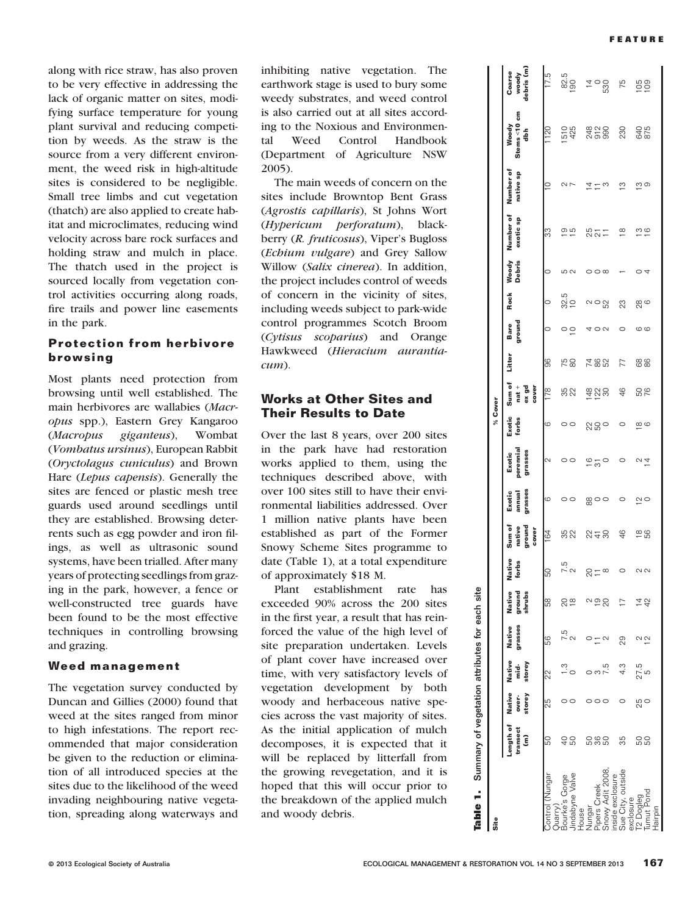along with rice straw, has also proven to be very effective in addressing the lack of organic matter on sites, modifying surface temperature for young plant survival and reducing competition by weeds. As the straw is the source from a very different environment, the weed risk in high-altitude sites is considered to be negligible. Small tree limbs and cut vegetation (thatch) are also applied to create habitat and microclimates, reducing wind velocity across bare rock surfaces and holding straw and mulch in place. The thatch used in the project is sourced locally from vegetation control activities occurring along roads, fire trails and power line easements in the park.

#### Protection from herbivore browsing

Most plants need protection from browsing until well established. The main herbivores are wallabies (Macropus spp.), Eastern Grey Kangaroo (Macropus giganteus), Wombat (Vombatus ursinus), European Rabbit (Oryctolagus cuniculus) and Brown Hare (Lepus capensis). Generally the sites are fenced or plastic mesh tree guards used around seedlings until they are established. Browsing deterrents such as egg powder and iron filings, as well as ultrasonic sound systems, have been trialled. After many years of protecting seedlings from grazing in the park, however, a fence or well-constructed tree guards have been found to be the most effective techniques in controlling browsing and grazing.

#### Weed management

The vegetation survey conducted by Duncan and Gillies (2000) found that weed at the sites ranged from minor to high infestations. The report recommended that major consideration be given to the reduction or elimination of all introduced species at the sites due to the likelihood of the weed invading neighbouring native vegetation, spreading along waterways and inhibiting native vegetation. The earthwork stage is used to bury some weedy substrates, and weed control is also carried out at all sites according to the Noxious and Environmental Weed Control Handbook (Department of Agriculture NSW 2005).

The main weeds of concern on the sites include Browntop Bent Grass (Agrostis capillaris), St Johns Wort (Hypericum perforatum), blackberry (R. fruticosus), Viper's Bugloss (Echium vulgare) and Grey Sallow Willow (Salix cinerea). In addition, the project includes control of weeds of concern in the vicinity of sites, including weeds subject to park-wide control programmes Scotch Broom (Cytisus scoparius) and Orange Hawkweed (Hieracium aurantiacum).

#### Works at Other Sites and Their Results to Date

Over the last 8 years, over 200 sites in the park have had restoration works applied to them, using the techniques described above, with over 100 sites still to have their environmental liabilities addressed. Over 1 million native plants have been established as part of the Former Snowy Scheme Sites programme to date (Table 1), at a total expenditure of approximately \$18 M.

Plant establishment rate has exceeded 90% across the 200 sites in the first year, a result that has reinforced the value of the high level of site preparation undertaken. Levels of plant cover have increased over time, with very satisfactory levels of vegetation development by both woody and herbaceous native species across the vast majority of sites. As the initial application of mulch decomposes, it is expected that it will be replaced by litterfall from the growing revegetation, and it is hoped that this will occur prior to the breakdown of the applied mulch and woody debris.

| Site                 |                            |                           |                                   |                   |                            |                 |                                     |                             |                                | % Cover         |                                     |            |                 |             |                        |                                  |           |                           |                               |
|----------------------|----------------------------|---------------------------|-----------------------------------|-------------------|----------------------------|-----------------|-------------------------------------|-----------------------------|--------------------------------|-----------------|-------------------------------------|------------|-----------------|-------------|------------------------|----------------------------------|-----------|---------------------------|-------------------------------|
|                      | Length of<br>transect<br>Ĵ | Native<br>storey<br>over- | Native<br>storey<br>$\frac{1}{2}$ | grasses<br>Native | Native<br>shrubs<br>ground | Native<br>forbs | ground<br>Sum of<br>native<br>cover | grasses<br>Exotic<br>annual | perennial<br>grasses<br>Exotic | Exotic<br>forbs | Sum of<br>ex gd<br>cover<br>$nat +$ | Litter     | ground<br>Bare  | <b>Rock</b> | Woody<br><b>Debris</b> | Number of Number of<br>exotic sp | native sp | Stems<10 cm<br>Woody<br>츫 | debris (m)<br>Coarse<br>woody |
| Nungar               | SO                         | 53                        | 22                                | 56                | 58                         | SO              | 164                                 | ပ                           | 2                              | 6               | 178                                 | 86         | $\circ$         | $\circ$     | $\circ$                | က္တ                              | $\approx$ | 1120                      | 17.5                          |
| anne Valve           | 95                         |                           |                                   |                   | 20<br>28                   | 7.5<br>2        | 35<br>22                            | 00                          | $\circ$                        | 00              | 35<br>22                            | 75<br>80   | $\circ$ $\circ$ | 32.5<br>32  | 10 U                   | _ ഇ<br>—                         | NΓ        | 510<br>425                | 82.5                          |
|                      |                            |                           |                                   |                   |                            | 2,              |                                     |                             |                                |                 |                                     |            |                 |             |                        |                                  | 4         |                           | $\overline{4}$                |
| pers Creek           | <b>0000</b>                |                           |                                   |                   | 0<br>20                    |                 | 22.58                               | ∞ಂ                          | $\frac{6}{3}$                  | 800             | 428                                 | 285<br>282 | ON              | N O         | $\circ$                | 2521                             |           | 820<br>820                | $\degree$                     |
| iside exclosure      |                            |                           |                                   |                   |                            | $\infty$        |                                     |                             |                                |                 |                                     |            |                 | 52          |                        |                                  |           |                           |                               |
| exclosure<br>ue<br>S | 35                         |                           | 4.3                               | 29                |                            | 0               | 46                                  | 0                           |                                | o               | 46                                  | 77         | $\circ$         | 23          |                        | $\overline{\infty}$              | ്         | 230                       | 75                            |
|                      | 58                         | 50<br>20                  | 27.5<br>5                         | $\frac{1}{2}$     | <u>4</u><br>국              | 22              | $\frac{8}{5}$                       | N O                         | $\frac{1}{4}$                  | $\infty$        | 50                                  | 88         | ဖ ဖ             | <u>ಇ</u> ಠ  |                        | <u> ო დ</u>                      | ო თ       | 640<br>875                | $\frac{105}{109}$             |
| Hairpir              |                            |                           |                                   |                   |                            |                 |                                     |                             |                                |                 |                                     |            |                 |             | 4                      |                                  |           |                           |                               |

Table 1. Summary of vegetation attributes for each site

Summary

é  $\overline{\mathbf{e}}$ 高

of vegetation attributes

site each : †¤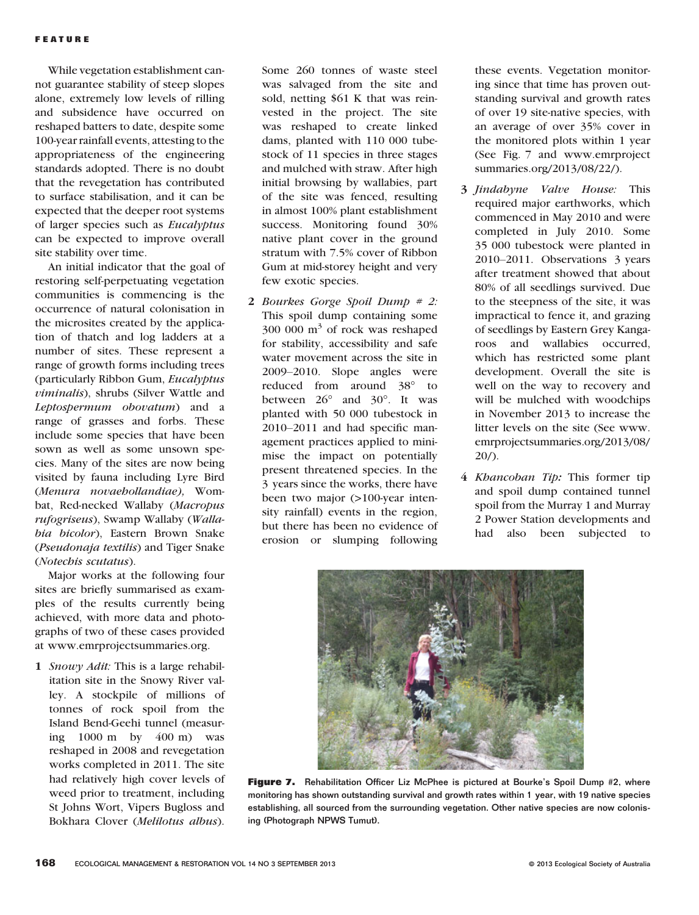While vegetation establishment cannot guarantee stability of steep slopes alone, extremely low levels of rilling and subsidence have occurred on reshaped batters to date, despite some 100-year rainfall events, attesting to the appropriateness of the engineering standards adopted. There is no doubt that the revegetation has contributed to surface stabilisation, and it can be expected that the deeper root systems of larger species such as Eucalyptus can be expected to improve overall site stability over time.

An initial indicator that the goal of restoring self-perpetuating vegetation communities is commencing is the occurrence of natural colonisation in the microsites created by the application of thatch and log ladders at a number of sites. These represent a range of growth forms including trees (particularly Ribbon Gum, Eucalyptus viminalis), shrubs (Silver Wattle and Leptospermum obovatum) and a range of grasses and forbs. These include some species that have been sown as well as some unsown species. Many of the sites are now being visited by fauna including Lyre Bird (Menura novaehollandiae), Wombat, Red-necked Wallaby (Macropus rufogriseus), Swamp Wallaby (Wallabia bicolor), Eastern Brown Snake (Pseudonaja textilis) and Tiger Snake (Notechis scutatus).

Major works at the following four sites are briefly summarised as examples of the results currently being achieved, with more data and photographs of two of these cases provided at www.emrprojectsummaries.org.

1 Snowy Adit: This is a large rehabilitation site in the Snowy River valley. A stockpile of millions of tonnes of rock spoil from the Island Bend-Geehi tunnel (measuring 1000 m by 400 m) was reshaped in 2008 and revegetation works completed in 2011. The site had relatively high cover levels of weed prior to treatment, including St Johns Wort, Vipers Bugloss and Bokhara Clover (Melilotus albus).

Some 260 tonnes of waste steel was salvaged from the site and sold, netting \$61 K that was reinvested in the project. The site was reshaped to create linked dams, planted with 110 000 tubestock of 11 species in three stages and mulched with straw. After high initial browsing by wallabies, part of the site was fenced, resulting in almost 100% plant establishment success. Monitoring found 30% native plant cover in the ground stratum with 7.5% cover of Ribbon Gum at mid-storey height and very few exotic species.

2 Bourkes Gorge Spoil Dump  $# 2$ : This spoil dump containing some 300 000 m<sup>3</sup> of rock was reshaped for stability, accessibility and safe water movement across the site in 2009–2010. Slope angles were reduced from around 38° to between 26° and 30°. It was planted with 50 000 tubestock in 2010–2011 and had specific management practices applied to minimise the impact on potentially present threatened species. In the 3 years since the works, there have been two major (>100-year intensity rainfall) events in the region, but there has been no evidence of erosion or slumping following

these events. Vegetation monitoring since that time has proven outstanding survival and growth rates of over 19 site-native species, with an average of over 35% cover in the monitored plots within 1 year (See Fig. 7 and www.emrproject summaries.org/2013/08/22/).

- 3 Jindabyne Valve House: This required major earthworks, which commenced in May 2010 and were completed in July 2010. Some 35 000 tubestock were planted in 2010–2011. Observations 3 years after treatment showed that about 80% of all seedlings survived. Due to the steepness of the site, it was impractical to fence it, and grazing of seedlings by Eastern Grey Kangaroos and wallabies occurred, which has restricted some plant development. Overall the site is well on the way to recovery and will be mulched with woodchips in November 2013 to increase the litter levels on the site (See www. emrprojectsummaries.org/2013/08/  $20/$ ).
- 4 Khancoban Tip: This former tip and spoil dump contained tunnel spoil from the Murray 1 and Murray 2 Power Station developments and had also been subjected to



Figure 7. Rehabilitation Officer Liz McPhee is pictured at Bourke's Spoil Dump #2, where monitoring has shown outstanding survival and growth rates within 1 year, with 19 native species establishing, all sourced from the surrounding vegetation. Other native species are now colonising (Photograph NPWS Tumut).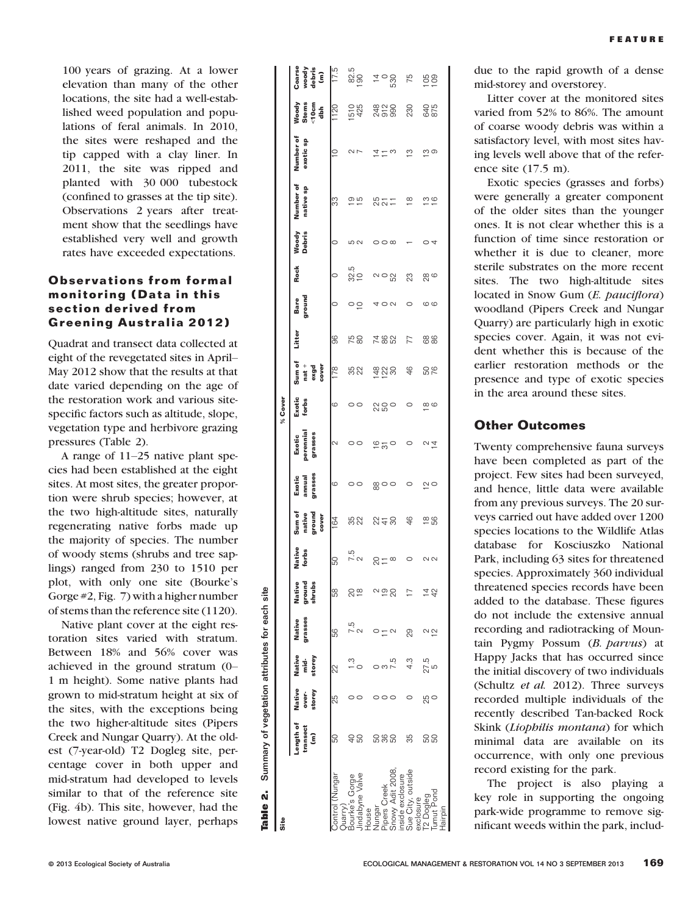100 years of grazing. At a lower elevation than many of the other locations, the site had a well-established weed population and populations of feral animals. In 2010, the sites were reshaped and the tip capped with a clay liner. In 2011, the site was ripped and planted with 30 000 tubestock (confined to grasses at the tip site). Observations 2 years after treatment show that the seedlings have established very well and growth rates have exceeded expectations.

#### Observations from formal monitoring (Data in this section derived from Greening Australia 2012)

Quadrat and transect data collected at eight of the revegetated sites in April– May 2012 show that the results at that date varied depending on the age of the restoration work and various sitespecific factors such as altitude, slope, vegetation type and herbivore grazing pressures (Table 2).

A range of 11–25 native plant species had been established at the eight sites. At most sites, the greater proportion were shrub species; however, at the two high-altitude sites, naturally regenerating native forbs made up the majority of species. The number of woody stems (shrubs and tree saplings) ranged from 230 to 1510 per plot, with only one site (Bourke's Gorge #2, Fig. 7) with a higher number of stems than the reference site (1120).

Native plant cover at the eight restoration sites varied with stratum. Between 18% and 56% cover was achieved in the ground stratum (0– 1 m height). Some native plants had grown to mid-stratum height at six of the sites, with the exceptions being the two higher-altitude sites (Pipers Creek and Nungar Quarry). At the oldest (7-year-old) T2 Dogleg site, percentage cover in both upper and mid-stratum had developed to levels similar to that of the reference site (Fig. 4b). This site, however, had the lowest native ground layer, perhaps

| Table 2. Summary of vegetation attributes for each site |                            |                                  |                               |                   |                            |                        |                                     |                             |                                |                         |                                    |            |                 |            |                         |                        |                        |                                          |                                  |
|---------------------------------------------------------|----------------------------|----------------------------------|-------------------------------|-------------------|----------------------------|------------------------|-------------------------------------|-----------------------------|--------------------------------|-------------------------|------------------------------------|------------|-----------------|------------|-------------------------|------------------------|------------------------|------------------------------------------|----------------------------------|
| Site                                                    |                            |                                  |                               |                   |                            |                        |                                     |                             |                                | % Cover                 |                                    |            |                 |            |                         |                        |                        |                                          |                                  |
|                                                         | Length of<br>transect<br>ŝ | <b>Native</b><br>storey<br>over- | Native<br>storey<br>nid.<br>T | grasses<br>Native | Native<br>ground<br>shrubs | <b>Native</b><br>forbs | Sum of<br>ground<br>native<br>cover | grasses<br>annual<br>Exotic | perennial<br>grasses<br>Exotic | Exotic<br>forbs         | Sum of<br>$nat +$<br>exgd<br>cover | Litter     | ground<br>Bare  | Rock       | Woody<br><b>Debris</b>  | Number of<br>native sp | Number of<br>exotic sp | Woody<br>Stems<br><10cm<br>$\frac{5}{6}$ | Coarse<br>woody<br>debris<br>(m) |
| ontrol (Nungar<br>Juarry.                               | 50                         | 25                               | 22                            | 56                | B<br>5                     | 50                     | 164                                 | ဖ                           | 2                              | G                       | 178                                | 96         | 0               |            | 0                       | 33                     | S                      | 1120                                     | $\frac{5}{175}$                  |
| Bourke's Gorge                                          | 48                         |                                  |                               |                   | ¤¤                         | 7.5<br>2               | 32                                  | $\circ$                     | $\circ$                        | $\circ$                 | 32                                 | 58         | $\circ$ $\circ$ | 32.5<br>10 | 5<br>2                  | © m                    | $\sim$ $\sim$          | 510<br>425                               | 82.5<br>190                      |
| indabvne Valve                                          |                            |                                  |                               |                   |                            |                        |                                     |                             |                                |                         |                                    |            |                 |            |                         |                        |                        |                                          |                                  |
| Nungar<br>House                                         |                            |                                  |                               |                   |                            |                        |                                     |                             |                                |                         |                                    |            |                 |            |                         |                        |                        |                                          | $\frac{5}{4}$ 0.00               |
| <b>Pipers Creek</b>                                     | <u>និង ខ</u>               |                                  |                               |                   | $\frac{6}{5}$              | $ac = \infty$          | 22.58                               | ⊗ 0 0                       | $\frac{6}{20}$                 | 800                     | 820<br>82                          | 285<br>282 |                 | ี ∾ o ∾ู   | $\circ$ $\circ$ $\circ$ | 821                    | ユニぃ                    |                                          |                                  |
| Snowy Adit 2008                                         |                            |                                  |                               |                   |                            |                        |                                     |                             |                                |                         |                                    |            | $\sim$          |            |                         |                        |                        |                                          |                                  |
| Sue City, outside<br>inside exclosure                   | 35                         |                                  |                               | 29                |                            | 0                      | 46                                  | 0                           | 0                              |                         | 46                                 | 77         |                 | 23         |                         | $\infty$               | ო                      | 230                                      | 75                               |
| exclosure                                               |                            |                                  |                               |                   |                            |                        |                                     |                             |                                |                         |                                    |            |                 |            |                         |                        |                        |                                          |                                  |
| T <sub>2</sub> Dogleg                                   | <u>និង</u>                 | 25                               | 27.5<br>5                     |                   |                            | $\sim$ $\sim$          | $\frac{8}{5}$                       | $\tilde{c}$                 | U4                             | $\frac{\infty}{\infty}$ | <b>92</b>                          | 88         | $\circ$         | 8<br>28    | ○ 4                     | $\frac{10}{10}$        | <u>က</u> တ             | 640<br>875                               | $\frac{105}{20}$                 |
| Tumut Pond                                              |                            |                                  |                               | ι<br>12           |                            |                        |                                     |                             |                                |                         |                                    |            |                 |            |                         |                        |                        |                                          |                                  |

due to the rapid growth of a dense mid-storey and overstorey.

Litter cover at the monitored sites varied from 52% to 86%. The amount of coarse woody debris was within a satisfactory level, with most sites having levels well above that of the reference site (17.5 m).

Exotic species (grasses and forbs) were generally a greater component of the older sites than the younger ones. It is not clear whether this is a function of time since restoration or whether it is due to cleaner, more sterile substrates on the more recent sites. The two high-altitude sites located in Snow Gum (E. pauciflora) woodland (Pipers Creek and Nungar Quarry) are particularly high in exotic species cover. Again, it was not evident whether this is because of the earlier restoration methods or the presence and type of exotic species in the area around these sites.

#### Other Outcomes

Twenty comprehensive fauna surveys have been completed as part of the project. Few sites had been surveyed, and hence, little data were available from any previous surveys. The 20 surveys carried out have added over 1200 species locations to the Wildlife Atlas database for Kosciuszko National Park, including 63 sites for threatened species. Approximately 360 individual threatened species records have been added to the database. These figures do not include the extensive annual recording and radiotracking of Mountain Pygmy Possum (B. parvus) at Happy Jacks that has occurred since the initial discovery of two individuals (Schultz et al. 2012). Three surveys recorded multiple individuals of the recently described Tan-backed Rock Skink (Liophilis montana) for which minimal data are available on its occurrence, with only one previous record existing for the park.

The project is also playing a key role in supporting the ongoing park-wide programme to remove significant weeds within the park, includ-

Tumut Pond Hairpin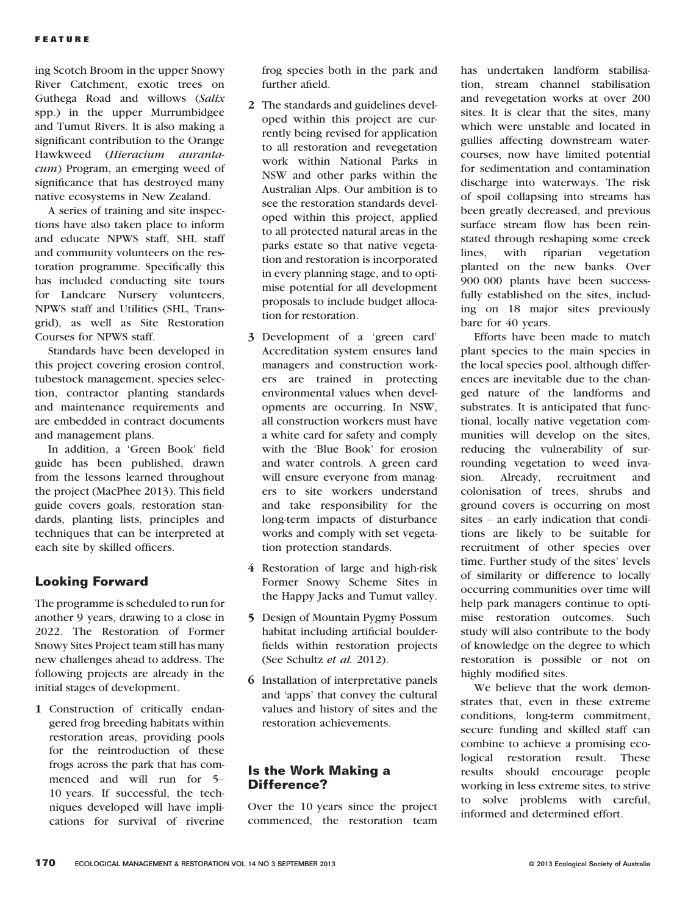ing Scotch Broom in the upper Snowy River Catchment, exotic trees on Guthega Road and willows (Salix spp.) in the upper Murrumbidgee and Tumut Rivers. It is also making a significant contribution to the Orange Hawkweed (Hieracium aurantacum) Program, an emerging weed of significance that has destroyed many native ecosystems in New Zealand.

A series of training and site inspections have also taken place to inform and educate NPWS staff, SHL staff and community volunteers on the restoration programme. Specifically this has included conducting site tours for Landcare Nursery volunteers, NPWS staff and Utilities (SHL, Transgrid), as well as Site Restoration Courses for NPWS staff.

Standards have been developed in this project covering erosion control, tubestock management, species selection, contractor planting standards and maintenance requirements and are embedded in contract documents and management plans.

In addition, a 'Green Book' field guide has been published, drawn from the lessons learned throughout the project (MacPhee 2013). This field guide covers goals, restoration standards, planting lists, principles and techniques that can be interpreted at each site by skilled officers.

#### Looking Forward

The programme is scheduled to run for another 9 years, drawing to a close in 2022. The Restoration of Former Snowy Sites Project team still has many new challenges ahead to address. The following projects are already in the initial stages of development.

1 Construction of critically endangered frog breeding habitats within restoration areas, providing pools for the reintroduction of these frogs across the park that has commenced and will run for 5– 10 years. If successful, the techniques developed will have implications for survival of riverine

frog species both in the park and further afield.

- 2 The standards and guidelines developed within this project are currently being revised for application to all restoration and revegetation work within National Parks in NSW and other parks within the Australian Alps. Our ambition is to see the restoration standards developed within this project, applied to all protected natural areas in the parks estate so that native vegetation and restoration is incorporated in every planning stage, and to optimise potential for all development proposals to include budget allocation for restoration.
- 3 Development of a 'green card' Accreditation system ensures land managers and construction workers are trained in protecting environmental values when developments are occurring. In NSW, all construction workers must have a white card for safety and comply with the 'Blue Book' for erosion and water controls. A green card will ensure everyone from managers to site workers understand and take responsibility for the long-term impacts of disturbance works and comply with set vegetation protection standards.
- 4 Restoration of large and high-risk Former Snowy Scheme Sites in the Happy Jacks and Tumut valley.
- 5 Design of Mountain Pygmy Possum habitat including artificial boulderfields within restoration projects (See Schultz et al. 2012).
- 6 Installation of interpretative panels and 'apps' that convey the cultural values and history of sites and the restoration achievements.

#### Is the Work Making a Difference?

Over the 10 years since the project commenced, the restoration team

has undertaken landform stabilisation, stream channel stabilisation and revegetation works at over 200 sites. It is clear that the sites, many which were unstable and located in gullies affecting downstream watercourses, now have limited potential for sedimentation and contamination discharge into waterways. The risk of spoil collapsing into streams has been greatly decreased, and previous surface stream flow has been reinstated through reshaping some creek lines, with riparian vegetation planted on the new banks. Over 900 000 plants have been successfully established on the sites, including on 18 major sites previously bare for 40 years.

Efforts have been made to match plant species to the main species in the local species pool, although differences are inevitable due to the changed nature of the landforms and substrates. It is anticipated that functional, locally native vegetation communities will develop on the sites, reducing the vulnerability of surrounding vegetation to weed invasion. Already, recruitment and colonisation of trees, shrubs and ground covers is occurring on most sites – an early indication that conditions are likely to be suitable for recruitment of other species over time. Further study of the sites' levels of similarity or difference to locally occurring communities over time will help park managers continue to optimise restoration outcomes. Such study will also contribute to the body of knowledge on the degree to which restoration is possible or not on highly modified sites.

We believe that the work demonstrates that, even in these extreme conditions, long-term commitment, secure funding and skilled staff can combine to achieve a promising ecological restoration result. These results should encourage people working in less extreme sites, to strive to solve problems with careful, informed and determined effort.